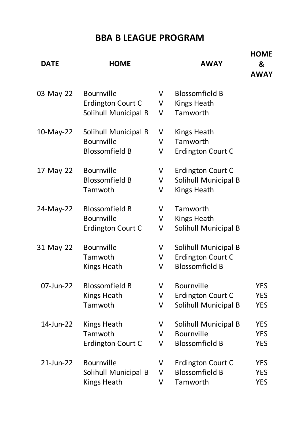## **BBA B LEAGUE PROGRAM**

| <b>DATE</b>  | <b>HOME</b>                                                        |             | <b>AWAY</b>                                                        | <b>HOME</b><br>&<br><b>AWAY</b>        |
|--------------|--------------------------------------------------------------------|-------------|--------------------------------------------------------------------|----------------------------------------|
| 03-May-22    | <b>Bournville</b><br>Erdington Court C<br>Solihull Municipal B     | V<br>V<br>V | <b>Blossomfield B</b><br><b>Kings Heath</b><br>Tamworth            |                                        |
| 10-May-22    | Solihull Municipal B<br><b>Bournville</b><br><b>Blossomfield B</b> | V<br>V<br>V | Kings Heath<br>Tamworth<br>Erdington Court C                       |                                        |
| 17-May-22    | <b>Bournville</b><br><b>Blossomfield B</b><br>Tamwoth              | V<br>V<br>V | Erdington Court C<br>Solihull Municipal B<br><b>Kings Heath</b>    |                                        |
| 24-May-22    | <b>Blossomfield B</b><br><b>Bournville</b><br>Erdington Court C    | V<br>V<br>V | Tamworth<br>Kings Heath<br>Solihull Municipal B                    |                                        |
| 31-May-22    | <b>Bournville</b><br>Tamwoth<br><b>Kings Heath</b>                 | V<br>V<br>V | Solihull Municipal B<br>Erdington Court C<br><b>Blossomfield B</b> |                                        |
| 07-Jun-22    | <b>Blossomfield B</b><br>Kings Heath<br>Tamwoth                    | V<br>V<br>V | <b>Bournville</b><br>Erdington Court C<br>Solihull Municipal B     | <b>YES</b><br><b>YES</b><br><b>YES</b> |
| 14-Jun-22    | Kings Heath<br>Tamwoth<br>Erdington Court C                        | V<br>V<br>V | Solihull Municipal B<br><b>Bournville</b><br><b>Blossomfield B</b> | <b>YES</b><br><b>YES</b><br><b>YES</b> |
| $21$ -Jun-22 | <b>Bournville</b><br>Solihull Municipal B<br><b>Kings Heath</b>    | V<br>V<br>V | Erdington Court C<br><b>Blossomfield B</b><br>Tamworth             | <b>YES</b><br><b>YES</b><br><b>YES</b> |